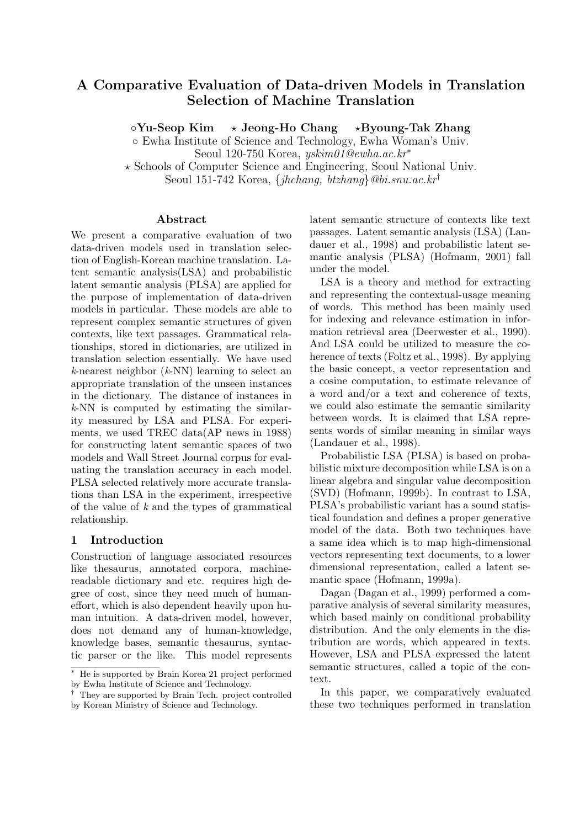# A Comparative Evaluation of Data-driven Models in Translation Selection of Machine Translation

 $\circ$ Yu-Seop Kim  $\rightarrow$  Jeong-Ho Chang  $\rightarrow$ Byoung-Tak Zhang

◦ Ewha Institute of Science and Technology, Ewha Woman's Univ.

Seoul 120-750 Korea, yskim01@ewha.ac.kr<sup>∗</sup>

? Schools of Computer Science and Engineering, Seoul National Univ.

Seoul 151-742 Korea, {jhchang, btzhang}@bi.snu.ac.kr†

#### Abstract

We present a comparative evaluation of two data-driven models used in translation selection of English-Korean machine translation. Latent semantic analysis(LSA) and probabilistic latent semantic analysis (PLSA) are applied for the purpose of implementation of data-driven models in particular. These models are able to represent complex semantic structures of given contexts, like text passages. Grammatical relationships, stored in dictionaries, are utilized in translation selection essentially. We have used  $k$ -nearest neighbor  $(k$ -NN) learning to select an appropriate translation of the unseen instances in the dictionary. The distance of instances in k-NN is computed by estimating the similarity measured by LSA and PLSA. For experiments, we used TREC data(AP news in 1988) for constructing latent semantic spaces of two models and Wall Street Journal corpus for evaluating the translation accuracy in each model. PLSA selected relatively more accurate translations than LSA in the experiment, irrespective of the value of k and the types of grammatical relationship.

# 1 Introduction

Construction of language associated resources like thesaurus, annotated corpora, machinereadable dictionary and etc. requires high degree of cost, since they need much of humaneffort, which is also dependent heavily upon human intuition. A data-driven model, however, does not demand any of human-knowledge, knowledge bases, semantic thesaurus, syntactic parser or the like. This model represents latent semantic structure of contexts like text passages. Latent semantic analysis (LSA) (Landauer et al., 1998) and probabilistic latent semantic analysis (PLSA) (Hofmann, 2001) fall under the model.

LSA is a theory and method for extracting and representing the contextual-usage meaning of words. This method has been mainly used for indexing and relevance estimation in information retrieval area (Deerwester et al., 1990). And LSA could be utilized to measure the coherence of texts (Foltz et al., 1998). By applying the basic concept, a vector representation and a cosine computation, to estimate relevance of a word and/or a text and coherence of texts, we could also estimate the semantic similarity between words. It is claimed that LSA represents words of similar meaning in similar ways (Landauer et al., 1998).

Probabilistic LSA (PLSA) is based on probabilistic mixture decomposition while LSA is on a linear algebra and singular value decomposition (SVD) (Hofmann, 1999b). In contrast to LSA, PLSA's probabilistic variant has a sound statistical foundation and defines a proper generative model of the data. Both two techniques have a same idea which is to map high-dimensional vectors representing text documents, to a lower dimensional representation, called a latent semantic space (Hofmann, 1999a).

Dagan (Dagan et al., 1999) performed a comparative analysis of several similarity measures, which based mainly on conditional probability distribution. And the only elements in the distribution are words, which appeared in texts. However, LSA and PLSA expressed the latent semantic structures, called a topic of the context.

In this paper, we comparatively evaluated these two techniques performed in translation

He is supported by Brain Korea 21 project performed by Ewha Institute of Science and Technology.

<sup>†</sup> They are supported by Brain Tech. project controlled by Korean Ministry of Science and Technology.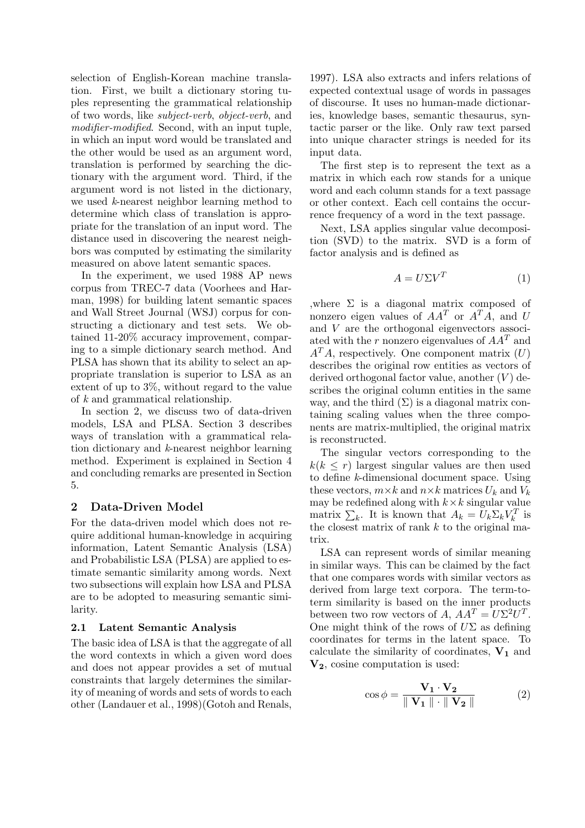selection of English-Korean machine translation. First, we built a dictionary storing tuples representing the grammatical relationship of two words, like subject-verb, object-verb, and modifier-modified. Second, with an input tuple, in which an input word would be translated and the other would be used as an argument word, translation is performed by searching the dictionary with the argument word. Third, if the argument word is not listed in the dictionary, we used k-nearest neighbor learning method to determine which class of translation is appropriate for the translation of an input word. The distance used in discovering the nearest neighbors was computed by estimating the similarity measured on above latent semantic spaces.

In the experiment, we used 1988 AP news corpus from TREC-7 data (Voorhees and Harman, 1998) for building latent semantic spaces and Wall Street Journal (WSJ) corpus for constructing a dictionary and test sets. We obtained 11-20% accuracy improvement, comparing to a simple dictionary search method. And PLSA has shown that its ability to select an appropriate translation is superior to LSA as an extent of up to 3%, without regard to the value of k and grammatical relationship.

In section 2, we discuss two of data-driven models, LSA and PLSA. Section 3 describes ways of translation with a grammatical relation dictionary and k-nearest neighbor learning method. Experiment is explained in Section 4 and concluding remarks are presented in Section 5.

# 2 Data-Driven Model

For the data-driven model which does not require additional human-knowledge in acquiring information, Latent Semantic Analysis (LSA) and Probabilistic LSA (PLSA) are applied to estimate semantic similarity among words. Next two subsections will explain how LSA and PLSA are to be adopted to measuring semantic similarity.

#### 2.1 Latent Semantic Analysis

The basic idea of LSA is that the aggregate of all the word contexts in which a given word does and does not appear provides a set of mutual constraints that largely determines the similarity of meaning of words and sets of words to each other (Landauer et al., 1998)(Gotoh and Renals,

1997). LSA also extracts and infers relations of expected contextual usage of words in passages of discourse. It uses no human-made dictionaries, knowledge bases, semantic thesaurus, syntactic parser or the like. Only raw text parsed into unique character strings is needed for its input data.

The first step is to represent the text as a matrix in which each row stands for a unique word and each column stands for a text passage or other context. Each cell contains the occurrence frequency of a word in the text passage.

Next, LSA applies singular value decomposition (SVD) to the matrix. SVD is a form of factor analysis and is defined as

$$
A = U\Sigma V^T \tag{1}
$$

,where  $\Sigma$  is a diagonal matrix composed of nonzero eigen values of  $AA^T$  or  $A^T\overline{A}$ , and U and V are the orthogonal eigenvectors associated with the r nonzero eigenvalues of  $AA<sup>T</sup>$  and  $A<sup>T</sup>A$ , respectively. One component matrix  $(U)$ describes the original row entities as vectors of derived orthogonal factor value, another  $(V)$  describes the original column entities in the same way, and the third  $(\Sigma)$  is a diagonal matrix containing scaling values when the three components are matrix-multiplied, the original matrix is reconstructed.

The singular vectors corresponding to the  $k(k \leq r)$  largest singular values are then used to define k-dimensional document space. Using these vectors,  $m \times k$  and  $n \times k$  matrices  $U_k$  and  $V_k$ may be redefined along with  $k \times k$  singular value matrix  $\sum_k$ . It is known that  $A_k = U_k \Sigma_k V_k^T$  is the closest matrix of rank  $k$  to the original matrix.

LSA can represent words of similar meaning in similar ways. This can be claimed by the fact that one compares words with similar vectors as derived from large text corpora. The term-toterm similarity is based on the inner products between two row vectors of A,  $AA^T = U\Sigma^2 U^T$ . One might think of the rows of  $U\Sigma$  as defining coordinates for terms in the latent space. To calculate the similarity of coordinates,  $V_1$  and  $V_2$ , cosine computation is used:

$$
\cos \phi = \frac{\mathbf{V}_1 \cdot \mathbf{V}_2}{\parallel \mathbf{V}_1 \parallel \cdot \parallel \mathbf{V}_2 \parallel}
$$
 (2)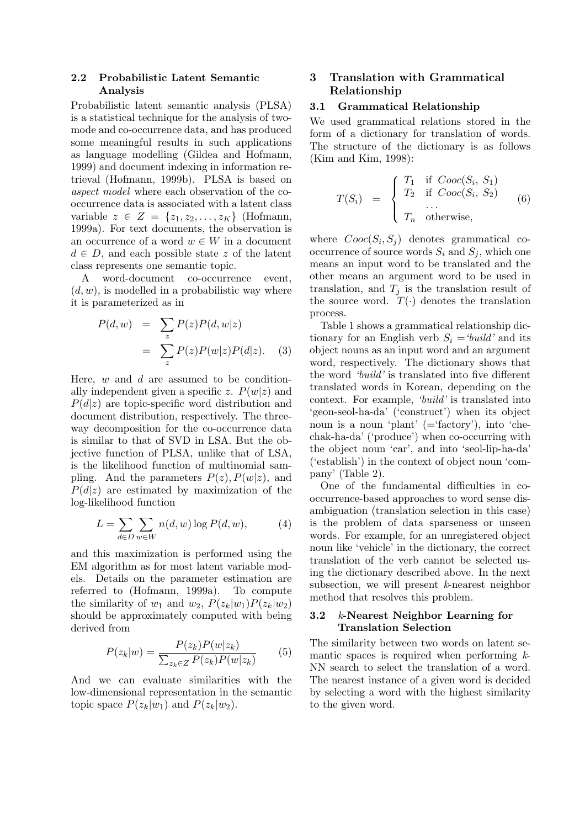#### 2.2 Probabilistic Latent Semantic Analysis

Probabilistic latent semantic analysis (PLSA) is a statistical technique for the analysis of twomode and co-occurrence data, and has produced some meaningful results in such applications as language modelling (Gildea and Hofmann, 1999) and document indexing in information retrieval (Hofmann, 1999b). PLSA is based on aspect model where each observation of the cooccurrence data is associated with a latent class variable  $z \in Z = \{z_1, z_2, \ldots, z_K\}$  (Hofmann, 1999a). For text documents, the observation is an occurrence of a word  $w \in W$  in a document  $d \in D$ , and each possible state z of the latent class represents one semantic topic.

A word-document co-occurrence event,  $(d, w)$ , is modelled in a probabilistic way where it is parameterized as in

$$
P(d, w) = \sum_{z} P(z)P(d, w|z)
$$
  
= 
$$
\sum_{z} P(z)P(w|z)P(d|z).
$$
 (3)

Here,  $w$  and  $d$  are assumed to be conditionally independent given a specific z.  $P(w|z)$  and  $P(d|z)$  are topic-specific word distribution and document distribution, respectively. The threeway decomposition for the co-occurrence data is similar to that of SVD in LSA. But the objective function of PLSA, unlike that of LSA, is the likelihood function of multinomial sampling. And the parameters  $P(z)$ ,  $P(w|z)$ , and  $P(d|z)$  are estimated by maximization of the log-likelihood function

$$
L = \sum_{d \in D} \sum_{w \in W} n(d, w) \log P(d, w), \tag{4}
$$

and this maximization is performed using the EM algorithm as for most latent variable models. Details on the parameter estimation are referred to (Hofmann, 1999a). To compute the similarity of  $w_1$  and  $w_2$ ,  $P(z_k|w_1)P(z_k|w_2)$ should be approximately computed with being derived from

$$
P(z_k|w) = \frac{P(z_k)P(w|z_k)}{\sum_{z_k \in Z} P(z_k)P(w|z_k)}\tag{5}
$$

And we can evaluate similarities with the low-dimensional representation in the semantic topic space  $P(z_k|w_1)$  and  $P(z_k|w_2)$ .

# 3 Translation with Grammatical Relationship

#### 3.1 Grammatical Relationship

We used grammatical relations stored in the form of a dictionary for translation of words. The structure of the dictionary is as follows (Kim and Kim, 1998):

$$
T(S_i) = \begin{cases} T_1 & \text{if } Cooc(S_i, S_1) \\ T_2 & \text{if } Cooc(S_i, S_2) \\ \dots \\ T_n & \text{otherwise,} \end{cases}
$$
 (6)

where  $Cooc(S_i, S_j)$  denotes grammatical cooccurrence of source words  $S_i$  and  $S_j$ , which one means an input word to be translated and the other means an argument word to be used in translation, and  $T_i$  is the translation result of the source word.  $T(\cdot)$  denotes the translation process.

Table 1 shows a grammatical relationship dictionary for an English verb  $S_i = 'build'$  and its object nouns as an input word and an argument word, respectively. The dictionary shows that the word 'build' is translated into five different translated words in Korean, depending on the context. For example, 'build' is translated into 'geon-seol-ha-da' ('construct') when its object noun is a noun 'plant' (='factory'), into 'chechak-ha-da' ('produce') when co-occurring with the object noun 'car', and into 'seol-lip-ha-da' ('establish') in the context of object noun 'company' (Table 2).

One of the fundamental difficulties in cooccurrence-based approaches to word sense disambiguation (translation selection in this case) is the problem of data sparseness or unseen words. For example, for an unregistered object noun like 'vehicle' in the dictionary, the correct translation of the verb cannot be selected using the dictionary described above. In the next subsection, we will present  $k$ -nearest neighbor method that resolves this problem.

#### 3.2  $k$ -Nearest Neighbor Learning for Translation Selection

The similarity between two words on latent semantic spaces is required when performing  $k$ -NN search to select the translation of a word. The nearest instance of a given word is decided by selecting a word with the highest similarity to the given word.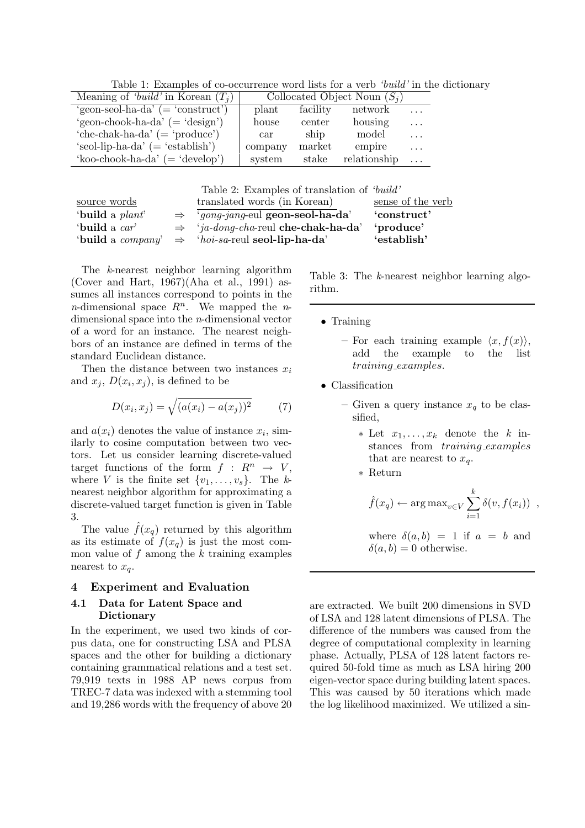Table 1: Examples of co-occurrence word lists for a verb 'build' in the dictionary

| Meaning of 'build' in Korean $(T_i)$   |                      |          | Collocated Object Noun $(S_i)$ |          |
|----------------------------------------|----------------------|----------|--------------------------------|----------|
| 'geon-seol-ha-da' $($ = 'construct')   | plant                | facility | network                        | $\cdots$ |
| 'geon-chook-ha-da' $($ = 'design' $)$  | house                | center   | housing                        | $\cdot$  |
| 'che-chak-ha-da' $($ = 'produce' $)$   | $\operatorname{car}$ | ship     | model                          | $\cdots$ |
| 'seol-lip-ha-da' $($ = 'establish' $)$ | company              | market   | empire                         | $\cdots$ |
| 'koo-chook-ha-da' $($ = 'develop' $)$  | system               | stake    | relationship                   |          |

Table 2: Examples of translation of 'build'

| source words              | translated words (in Korean)                      | sense of the verb |
|---------------------------|---------------------------------------------------|-------------------|
| 'build a plant'           | $\Rightarrow$ 'gong-jang-eul geon-seol-ha-da'     | 'construct'       |
| 'build a car'             | $\Rightarrow$ 'ja-dong-cha-reul che-chak-ha-da'   | 'produce'         |
| 'build a <i>company</i> ' | $\Rightarrow$ 'hoi-sa-reul <b>seol-lip-ha-da'</b> | 'establish'       |

The k-nearest neighbor learning algorithm (Cover and Hart, 1967)(Aha et al., 1991) assumes all instances correspond to points in the *n*-dimensional space  $R^n$ . We mapped the *n*dimensional space into the n-dimensional vector of a word for an instance. The nearest neighbors of an instance are defined in terms of the standard Euclidean distance.

Then the distance between two instances  $x_i$ and  $x_j$ ,  $D(x_i, x_j)$ , is defined to be

$$
D(x_i, x_j) = \sqrt{(a(x_i) - a(x_j))^2}
$$
 (7)

and  $a(x_i)$  denotes the value of instance  $x_i$ , similarly to cosine computation between two vectors. Let us consider learning discrete-valued target functions of the form  $f : R^n \rightarrow V$ , where V is the finite set  $\{v_1, \ldots, v_s\}$ . The knearest neighbor algorithm for approximating a discrete-valued target function is given in Table 3.

The value  $f(x_q)$  returned by this algorithm as its estimate of  $f(x_q)$  is just the most common value of f among the  $k$  training examples nearest to  $x_q$ .

#### 4 Experiment and Evaluation

#### 4.1 Data for Latent Space and Dictionary

In the experiment, we used two kinds of corpus data, one for constructing LSA and PLSA spaces and the other for building a dictionary containing grammatical relations and a test set. 79,919 texts in 1988 AP news corpus from TREC-7 data was indexed with a stemming tool and 19,286 words with the frequency of above 20 Table 3: The k-nearest neighbor learning algorithm.

- Training
	- For each training example  $\langle x, f(x) \rangle$ , add the example to the list training examples.
- Classification
	- Given a query instance  $x_q$  to be classified,
		- $*$  Let  $x_1, \ldots, x_k$  denote the k instances from *training\_examples* that are nearest to  $x_a$ .
		- ∗ Return

$$
\hat{f}(x_q) \leftarrow \arg \max_{v \in V} \sum_{i=1}^k \delta(v, f(x_i))
$$
,

where 
$$
\delta(a, b) = 1
$$
 if  $a = b$  and  
 $\delta(a, b) = 0$  otherwise.

are extracted. We built 200 dimensions in SVD of LSA and 128 latent dimensions of PLSA. The difference of the numbers was caused from the degree of computational complexity in learning phase. Actually, PLSA of 128 latent factors required 50-fold time as much as LSA hiring 200 eigen-vector space during building latent spaces. This was caused by 50 iterations which made the log likelihood maximized. We utilized a sin-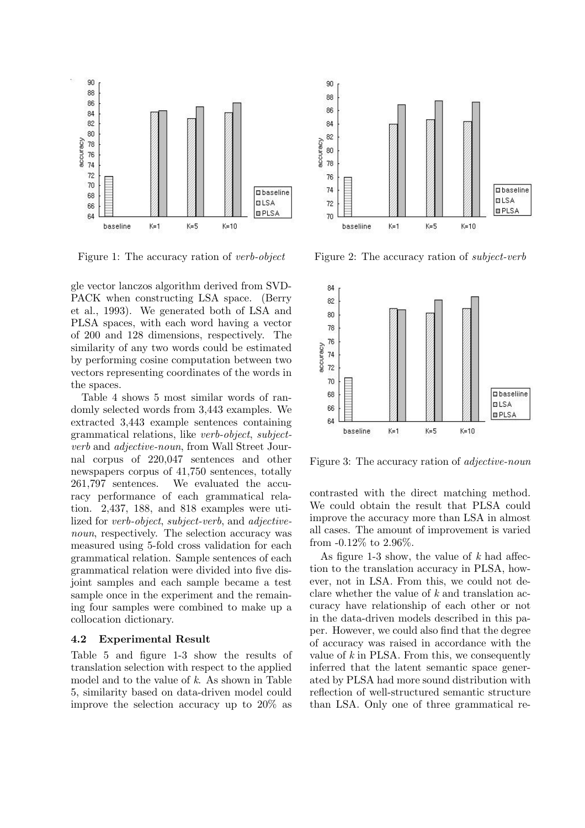

Figure 1: The accuracy ration of verb-object

gle vector lanczos algorithm derived from SVD-PACK when constructing LSA space. (Berry et al., 1993). We generated both of LSA and PLSA spaces, with each word having a vector of 200 and 128 dimensions, respectively. The similarity of any two words could be estimated by performing cosine computation between two vectors representing coordinates of the words in the spaces.

Table 4 shows 5 most similar words of randomly selected words from 3,443 examples. We extracted 3,443 example sentences containing grammatical relations, like verb-object, subjectverb and adjective-noun, from Wall Street Journal corpus of 220,047 sentences and other newspapers corpus of 41,750 sentences, totally 261,797 sentences. We evaluated the accuracy performance of each grammatical relation. 2,437, 188, and 818 examples were utilized for verb-object, subject-verb, and adjectivenoun, respectively. The selection accuracy was measured using 5-fold cross validation for each grammatical relation. Sample sentences of each grammatical relation were divided into five disjoint samples and each sample became a test sample once in the experiment and the remaining four samples were combined to make up a collocation dictionary.

#### 4.2 Experimental Result

Table 5 and figure 1-3 show the results of translation selection with respect to the applied model and to the value of k. As shown in Table 5, similarity based on data-driven model could improve the selection accuracy up to 20% as



Figure 2: The accuracy ration of subject-verb



Figure 3: The accuracy ration of *adjective-noun* 

contrasted with the direct matching method. We could obtain the result that PLSA could improve the accuracy more than LSA in almost all cases. The amount of improvement is varied from -0.12% to 2.96%.

As figure 1-3 show, the value of  $k$  had affection to the translation accuracy in PLSA, however, not in LSA. From this, we could not declare whether the value of  $k$  and translation accuracy have relationship of each other or not in the data-driven models described in this paper. However, we could also find that the degree of accuracy was raised in accordance with the value of  $k$  in PLSA. From this, we consequently inferred that the latent semantic space generated by PLSA had more sound distribution with reflection of well-structured semantic structure than LSA. Only one of three grammatical re-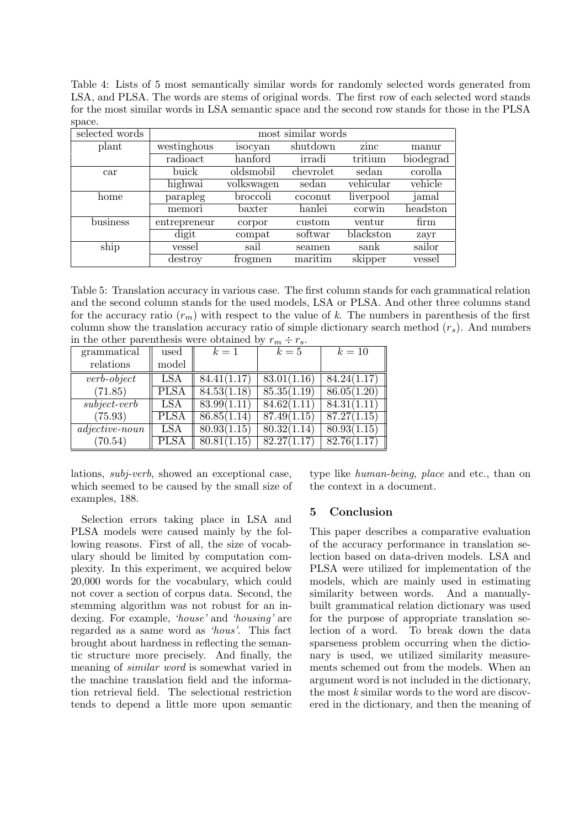Table 4: Lists of 5 most semantically similar words for randomly selected words generated from LSA, and PLSA. The words are stems of original words. The first row of each selected word stands for the most similar words in LSA semantic space and the second row stands for those in the PLSA space.

| selected words | most similar words |            |           |           |           |
|----------------|--------------------|------------|-----------|-----------|-----------|
| plant          | westinghous        | isocyan    | shutdown  | zinc      | manur     |
|                | radioact           | hanford    | irradi    | tritium   | biodegrad |
| car            | buick              | oldsmobil  | chevrolet | sedan     | corolla   |
|                | highwai            | volkswagen | sedan     | vehicular | vehicle   |
| home           | parapleg           | broccoli   | coconut   | liverpool | jamal     |
|                | memori             | baxter     | hanlei    | corwin    | headston  |
| business       | entrepreneur       | corpor     | custom    | ventur    | firm      |
|                | digit              | compat     | softwar   | blackston | zayr      |
| ship           | vessel             | sail       | seamen    | sank      | sailor    |
|                | destroy            | frogmen    | maritim   | skipper   | vessel    |

Table 5: Translation accuracy in various case. The first column stands for each grammatical relation and the second column stands for the used models, LSA or PLSA. And other three columns stand for the accuracy ratio  $(r_m)$  with respect to the value of k. The numbers in parenthesis of the first column show the translation accuracy ratio of simple dictionary search method  $(r<sub>s</sub>)$ . And numbers in the other parenthesis were obtained by  $r_m \div r_s$ .

| grammatical<br>relations | used<br>model | $k=1$       | $k=5$       | $k=10$      |
|--------------------------|---------------|-------------|-------------|-------------|
| $verb\-object$           | <b>LSA</b>    | 84.41(1.17) | 83.01(1.16) | 84.24(1.17) |
| (71.85)                  | <b>PLSA</b>   | 84.53(1.18) | 85.35(1.19) | 86.05(1.20) |
| $subject-verb$           | LSA           | 83.99(1.11) | 84.62(1.11) | 84.31(1.11) |
| (75.93)                  | <b>PLSA</b>   | 86.85(1.14) | 87.49(1.15) | 87.27(1.15) |
| $adjective-noun$         | <b>LSA</b>    | 80.93(1.15) | 80.32(1.14) | 80.93(1.15) |
| (70.54)                  | PLSA          | 80.81(1.15) | 82.27(1.17) | 82.76(1.17) |

lations, subj-verb, showed an exceptional case, which seemed to be caused by the small size of examples, 188.

Selection errors taking place in LSA and PLSA models were caused mainly by the following reasons. First of all, the size of vocabulary should be limited by computation complexity. In this experiment, we acquired below 20,000 words for the vocabulary, which could not cover a section of corpus data. Second, the stemming algorithm was not robust for an indexing. For example, 'house' and 'housing' are regarded as a same word as 'hous'. This fact brought about hardness in reflecting the semantic structure more precisely. And finally, the meaning of similar word is somewhat varied in the machine translation field and the information retrieval field. The selectional restriction tends to depend a little more upon semantic type like human-being, place and etc., than on the context in a document.

# 5 Conclusion

This paper describes a comparative evaluation of the accuracy performance in translation selection based on data-driven models. LSA and PLSA were utilized for implementation of the models, which are mainly used in estimating similarity between words. And a manuallybuilt grammatical relation dictionary was used for the purpose of appropriate translation selection of a word. To break down the data sparseness problem occurring when the dictionary is used, we utilized similarity measurements schemed out from the models. When an argument word is not included in the dictionary, the most k similar words to the word are discovered in the dictionary, and then the meaning of